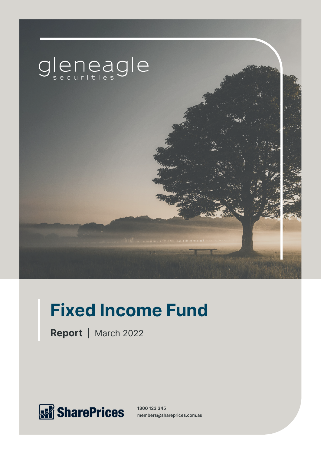

# **Fixed Income Fund**

**Report** | March 2022



**1300 123 345 members@shareprices.com.au**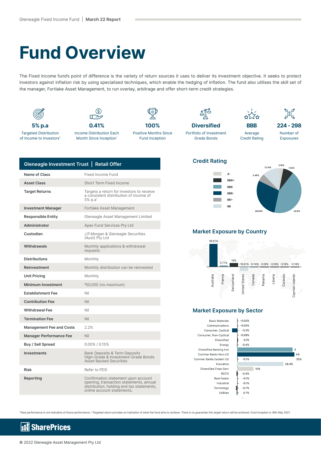## **Fund Overview**

The Fixed Income fund's point of difference is the variety of return sources it uses to deliver its investment objective. It seeks to protect investors against inflation risk by using specialised techniques, which enable the hedging of inflation. The fund also utilises the skill set of the manager, Fortlake Asset Management, to run overlay, arbitrage and offer short-term credit strategies.



| Gleneagle Investment Trust   Retail Offer |                                                                                                                             |
|-------------------------------------------|-----------------------------------------------------------------------------------------------------------------------------|
| Name of Class                             | Fixed Income Fund                                                                                                           |
| <b>Asset Class</b>                        | Short Term Fixed Income                                                                                                     |
| <b>Target Returns</b>                     | Targets a return for investors to receive<br>a consistent distribution of income of<br>5% p.a <sup>*</sup>                  |
| <b>Investment Manager</b>                 | Fortlake Asset Management                                                                                                   |
| <b>Responsible Entity</b>                 | Gleneagle Asset Management Limited                                                                                          |
| Administrator                             | Apex Fund Services Pty Ltd                                                                                                  |
| Custodian                                 | J.P.Morgan & Gleneagle Securities<br>(Aust) Pty Ltd                                                                         |
| Withdrawals                               | Monthly applications & withdrawal<br>requests                                                                               |
| <b>Distributions</b>                      | Monthly                                                                                                                     |
| Reinvestment                              | Monthly distribution can be reinvested                                                                                      |
| <b>Unit Pricing</b>                       | Monthly                                                                                                                     |
| <b>Minimum Investment</b>                 | \$50,000 (no maximum)                                                                                                       |
| <b>Establishment Fee</b>                  | Nil                                                                                                                         |
| <b>Contribution Fee</b>                   | Nil                                                                                                                         |
| <b>Withdrawal Fee</b>                     | Nil                                                                                                                         |
| <b>Termination Fee</b>                    | Nil                                                                                                                         |
| <b>Management Fee and Costs</b>           | 2.2%                                                                                                                        |
| <b>Manager Performance Fee</b>            | Nil                                                                                                                         |
| Buy / Sell Spread                         | $0.00\%$ / 0.15%                                                                                                            |
| <b>Investments</b>                        | <b>Bank Deposits &amp; Term Deposits</b><br>High-Grade & Investment-Grade Bonds<br><b>Asset Backed Securities</b>           |
| <b>Risk</b>                               | Refer to PDS                                                                                                                |
| Reporting                                 | Confirmation statement upon account<br>opening, transaction statements, annual<br>distribution, holding and tax statements, |

online account statements.

#### **Credit Rating**





#### **Market Exposure by Country**



#### **Market Exposure by Sector**

**Basic Materials** Communications Consumer, Cyclical Consumer, Non-Cyclical Diversified Energy Diversified Banking Inst Commer Banks Non-US Commer Banks Eastern US Insurance Diversified Finan Serv REITS Real Estate Industrial Technology Utilities



^Past performance is not indicative of future performance. \*Targeted return provides an indication of what the fund aims to achieve. There is no guarantee this target return will be achieved. Fund inception is 18th May 2021.

#### **SharePrices** k.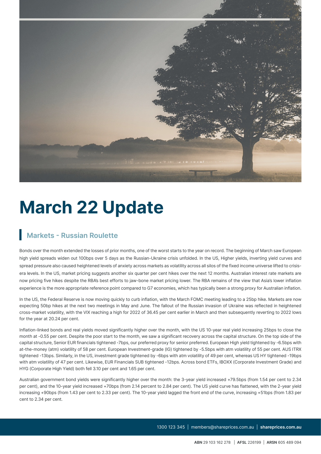

## **March 22 Update**

### **Markets - Russian Roulette**

Bonds over the month extended the losses of prior months, one of the worst starts to the year on record. The beginning of March saw European high yield spreads widen out 100bps over 5 days as the Russian-Ukraine crisis unfolded. In the US, Higher yields, inverting yield curves and spread pressure also caused heightened levels of anxiety across markets as volatility across all silos of the fixed income universe lifted to crisisera levels. In the US, market pricing suggests another six quarter per cent hikes over the next 12 months. Australian interest rate markets are now pricing five hikes despite the RBA's best efforts to jaw-bone market pricing lower. The RBA remains of the view that Asia's lower inflation experience is the more appropriate reference point compared to G7 economies, which has typically been a strong proxy for Australian inflation.

In the US, the Federal Reserve is now moving quickly to curb inflation, with the March FOMC meeting leading to a 25bp hike. Markets are now expecting 50bp hikes at the next two meetings in May and June. The fallout of the Russian invasion of Ukraine was reflected in heightened cross-market volatility, with the VIX reaching a high for 2022 of 36.45 per cent earlier in March and then subsequently reverting to 2022 lows for the year at 20.24 per cent.

Inflation-linked bonds and real yields moved significantly higher over the month, with the US 10-year real yield increasing 25bps to close the month at -0.55 per cent. Despite the poor start to the month, we saw a significant recovery across the capital structure. On the top side of the capital structure, Senior EUR financials tightened -7bps, our preferred proxy for senior preferred. European High yield tightened by -6.5bps with at-the-money (atm) volatility of 58 per cent. European Investment-grade (IG) tightened by -5.5bps with atm volatility of 55 per cent. AUS ITRX tightened -13bps. Similarly, in the US, investment grade tightened by -6bps with atm volatility of 49 per cent, whereas US HY tightened -19bps with atm volatility of 47 per cent. Likewise, EUR Financials SUB tightened -12bps. Across bond ETFs, IBOXX (Corporate Investment Grade) and HYG (Corporate High Yield) both fell 3.10 per cent and 1.65 per cent.

Australian government bond yields were significantly higher over the month: the 3-year yield increased +79.5bps (from 1.54 per cent to 2.34 per cent), and the 10-year yield increased +70bps (from 2.14 percent to 2.84 per cent). The US yield curve has flattened, with the 2-year yield increasing +90bps (from 1.43 per cent to 2.33 per cent). The 10-year yield lagged the front end of the curve, increasing +51bps (from 1.83 per cent to 2.34 per cent.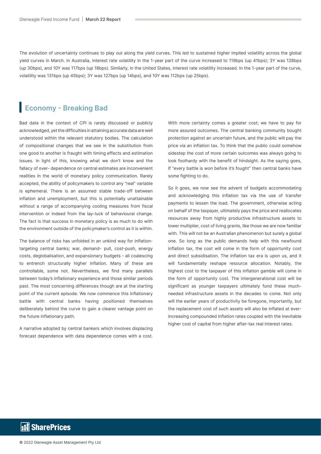The evolution of uncertainty continues to play out along the yield curves. This led to sustained higher implied volatility across the global yield curves in March. In Australia, interest rate volatility in the 1-year part of the curve increased to 119bps (up 41bps); 3Y was 128bps (up 30bps), and 10Y was 117bps (up 18bps). Similarly, in the United States, interest rate volatility increased. In the 1-year part of the curve, volatility was 131bps (up 45bps); 3Y was 127bps (up 14bps), and 10Y was 112bps (up 25bps).

### **Economy - Breaking Bad**

Bad data in the context of CPI is rarely discussed or publicly acknowledged, yet the difficulties in attaining accurate data are well understood within the relevant statutory bodies. The calculation of compositional changes that we see in the substitution from one good to another is fraught with timing effects and estimation issues. In light of this, knowing what we don't know and the fallacy of over- dependence on central estimates are inconvenient realities in the world of monetary policy communication. Rarely accepted, the ability of policymakers to control any "real" variable is ephemeral. There is an assumed stable trade-off between inflation and unemployment, but this is potentially unattainable without a range of accompanying cooling measures from fiscal intervention or indeed from the lay-luck of behavioural change. The fact is that success in monetary policy is as much to do with the environment outside of the policymaker's control as it is within.

The balance of risks has unfolded in an unkind way for inflationtargeting central banks; war, demand- pull, cost-push, energy costs, deglobalisation, and expansionary budgets - all coalescing to entrench structurally higher inflation. Many of these are controllable, some not. Nevertheless, we find many parallels between today's inflationary experience and those similar periods past. The most concerning differences though are at the starting point of the current episode. We now commence this inflationary battle with central banks having positioned themselves deliberately behind the curve to gain a clearer vantage point on the future inflationary path.

A narrative adopted by central bankers which involves displacing forecast dependence with data dependence comes with a cost. With more certainty comes a greater cost; we have to pay for more assured outcomes. The central banking community bought protection against an uncertain future, and the public will pay the price via an inflation tax. To think that the public could somehow sidestep the cost of more certain outcomes was always going to look foolhardy with the benefit of hindsight. As the saying goes, If "every battle is won before it's fought" then central banks have some fighting to do.

So it goes, we now see the advent of budgets accommodating and acknowledging this inflation tax via the use of transfer payments to lessen the load. The government, otherwise acting on behalf of the taxpayer, ultimately pays the price and reallocates resources away from highly productive infrastructure assets to lower multiplier, cost of living grants, like those we are now familiar with. This will not be an Australian phenomenon but surely a global one. So long as the public demands help with this newfound inflation tax, the cost will come in the form of opportunity cost and direct subsidisation. The Inflation tax era is upon us, and it will fundamentally reshape resource allocation. Notably, the highest cost to the taxpayer of this inflation gamble will come in the form of opportunity cost. The intergenerational cost will be significant as younger taxpayers ultimately fund these muchneeded infrastructure assets in the decades to come. Not only will the earlier years of productivity be foregone, importantly, but the replacement cost of such assets will also be inflated at everincreasing compounded inflation rates coupled with the inevitable higher cost of capital from higher after-tax real interest rates.